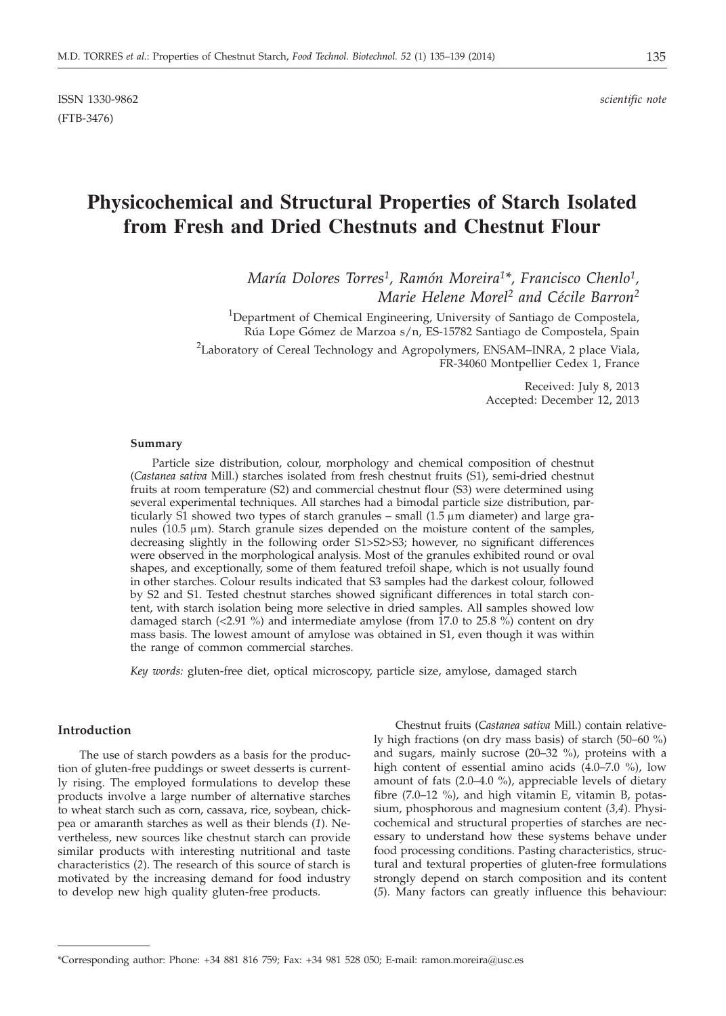# **Physicochemical and Structural Properties of Starch Isolated from Fresh and Dried Chestnuts and Chestnut Flour**

*María Dolores Torres1, Ramón Moreira1\*, Francisco Chenlo1, Marie Helene Morel2 and Cécile Barron2*

<sup>1</sup>Department of Chemical Engineering, University of Santiago de Compostela, Rúa Lope Gómez de Marzoa s/n, ES-15782 Santiago de Compostela, Spain

<sup>2</sup>Laboratory of Cereal Technology and Agropolymers, ENSAM–INRA, 2 place Viala, FR-34060 Montpellier Cedex 1, France

> Received: July 8, 2013 Accepted: December 12, 2013

### **Summary**

Particle size distribution, colour, morphology and chemical composition of chestnut (*Castanea sativa* Mill.) starches isolated from fresh chestnut fruits (S1), semi-dried chestnut fruits at room temperature (S2) and commercial chestnut flour (S3) were determined using several experimental techniques. All starches had a bimodal particle size distribution, particularly S1 showed two types of starch granules  $-$  small  $(1.5 \mu m)$  diameter) and large granules ( $10.5 \mu m$ ). Starch granule sizes depended on the moisture content of the samples, decreasing slightly in the following order S1>S2>S3; however, no significant differences were observed in the morphological analysis. Most of the granules exhibited round or oval shapes, and exceptionally, some of them featured trefoil shape, which is not usually found in other starches. Colour results indicated that S3 samples had the darkest colour, followed by S2 and S1. Tested chestnut starches showed significant differences in total starch content, with starch isolation being more selective in dried samples. All samples showed low damaged starch  $\left($  <2.91 %) and intermediate amylose (from 17.0 to 25.8 %) content on dry mass basis. The lowest amount of amylose was obtained in S1, even though it was within the range of common commercial starches.

*Key words:* gluten-free diet, optical microscopy, particle size, amylose, damaged starch

#### **Introduction**

The use of starch powders as a basis for the production of gluten-free puddings or sweet desserts is currently rising. The employed formulations to develop these products involve a large number of alternative starches to wheat starch such as corn, cassava, rice, soybean, chickpea or amaranth starches as well as their blends (*1*). Nevertheless, new sources like chestnut starch can provide similar products with interesting nutritional and taste characteristics (*2*). The research of this source of starch is motivated by the increasing demand for food industry to develop new high quality gluten-free products.

Chestnut fruits (*Castanea sativa* Mill.) contain relatively high fractions (on dry mass basis) of starch (50–60 %) and sugars, mainly sucrose (20–32 %), proteins with a high content of essential amino acids (4.0–7.0 %), low amount of fats (2.0–4.0 %), appreciable levels of dietary fibre (7.0–12 %), and high vitamin E, vitamin B, potassium, phosphorous and magnesium content (*3,4*). Physicochemical and structural properties of starches are necessary to understand how these systems behave under food processing conditions. Pasting characteristics, structural and textural properties of gluten-free formulations strongly depend on starch composition and its content (*5*). Many factors can greatly influence this behaviour:

<sup>\*</sup>Corresponding author: Phone: +34 881 816 759; Fax: +34 981 528 050; E-mail: ramon.moreira@usc.es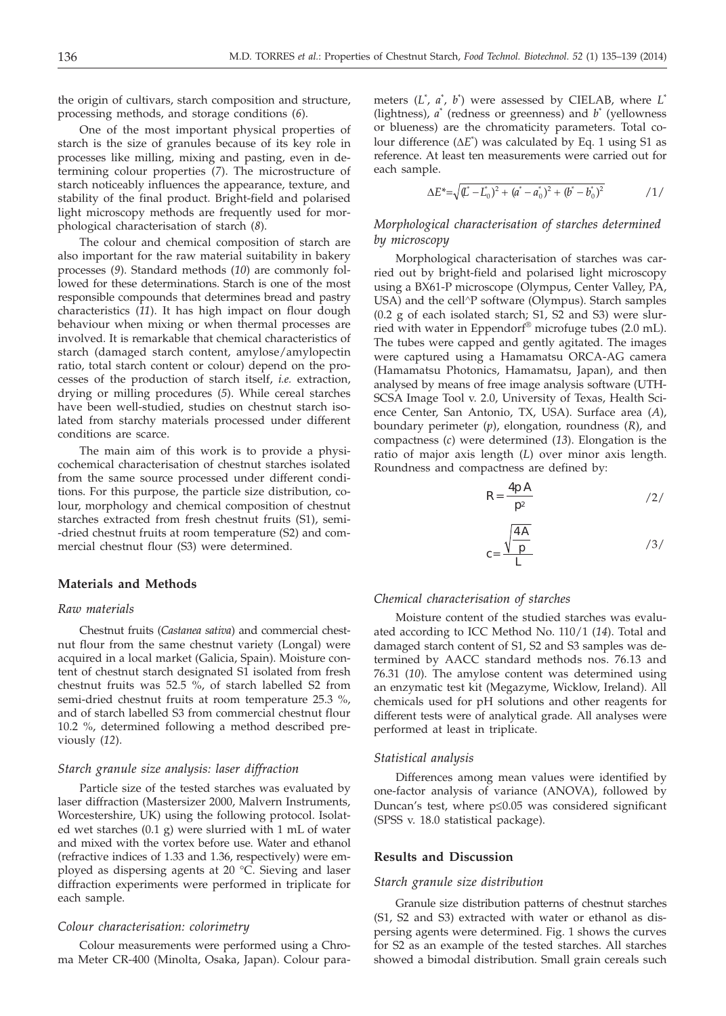the origin of cultivars, starch composition and structure, processing methods, and storage conditions (*6*).

One of the most important physical properties of starch is the size of granules because of its key role in processes like milling, mixing and pasting, even in determining colour properties (*7*). The microstructure of starch noticeably influences the appearance, texture, and stability of the final product. Bright-field and polarised light microscopy methods are frequently used for morphological characterisation of starch (*8*).

The colour and chemical composition of starch are also important for the raw material suitability in bakery processes (*9*). Standard methods (*10*) are commonly followed for these determinations. Starch is one of the most responsible compounds that determines bread and pastry characteristics (*11*). It has high impact on flour dough behaviour when mixing or when thermal processes are involved. It is remarkable that chemical characteristics of starch (damaged starch content, amylose/amylopectin ratio, total starch content or colour) depend on the processes of the production of starch itself, *i.e.* extraction, drying or milling procedures (*5*). While cereal starches have been well-studied, studies on chestnut starch isolated from starchy materials processed under different conditions are scarce.

The main aim of this work is to provide a physicochemical characterisation of chestnut starches isolated from the same source processed under different conditions. For this purpose, the particle size distribution, colour, morphology and chemical composition of chestnut starches extracted from fresh chestnut fruits (S1), semi- -dried chestnut fruits at room temperature (S2) and commercial chestnut flour (S3) were determined.

## **Materials and Methods**

### *Raw materials*

Chestnut fruits (*Castanea sativa*) and commercial chestnut flour from the same chestnut variety (Longal) were acquired in a local market (Galicia, Spain). Moisture content of chestnut starch designated S1 isolated from fresh chestnut fruits was 52.5 %, of starch labelled S2 from semi-dried chestnut fruits at room temperature 25.3 %, and of starch labelled S3 from commercial chestnut flour 10.2 %, determined following a method described previously (*12*).

# *Starch granule size analysis: laser diffraction*

Particle size of the tested starches was evaluated by laser diffraction (Mastersizer 2000, Malvern Instruments, Worcestershire, UK) using the following protocol. Isolated wet starches (0.1 g) were slurried with 1 mL of water and mixed with the vortex before use. Water and ethanol (refractive indices of 1.33 and 1.36, respectively) were employed as dispersing agents at 20 °C. Sieving and laser diffraction experiments were performed in triplicate for each sample.

#### *Colour characterisation: colorimetry*

Colour measurements were performed using a Chroma Meter CR-400 (Minolta, Osaka, Japan). Colour para-

meters (*L*\* , *a*\* , *b*\* ) were assessed by CIELAB, where *L*\* (lightness), *a*\* (redness or greenness) and *b*\* (yellowness or blueness) are the chromaticity parameters. Total colour difference (ΔΕ<sup>\*</sup>) was calculated by Eq. 1 using S1 as<br>reference. At least ten measurements were carried out for reference. At least ten measurements were carried out for each sample.

$$
\Delta E^* = \sqrt{(\vec{L} - \vec{L_0})^2 + (\vec{a} - \vec{a_0})^2 + (\vec{b} - \vec{b_0})^2}
$$

# *Morphological characterisation of starches determined by microscopy*

Morphological characterisation of starches was carried out by bright-field and polarised light microscopy using a BX61-P microscope (Olympus, Center Valley, PA, USA) and the cell^P software (Olympus). Starch samples (0.2 g of each isolated starch; S1, S2 and S3) were slurried with water in Eppendorf® microfuge tubes (2.0 mL). The tubes were capped and gently agitated. The images were captured using a Hamamatsu ORCA-AG camera (Hamamatsu Photonics, Hamamatsu, Japan), and then analysed by means of free image analysis software (UTH-SCSA Image Tool v. 2.0, University of Texas, Health Science Center, San Antonio, TX, USA). Surface area (*A*), boundary perimeter (*p*), elongation, roundness (*R*), and compactness (*c*) were determined (*13*). Elongation is the ratio of major axis length (*L*) over minor axis length. Roundness and compactness are defined by:

$$
R = \frac{4p A}{p^2}
$$

$$
c = \frac{\sqrt{\frac{4A}{p}}}{L}
$$

# *Chemical characterisation of starches*

Moisture content of the studied starches was evaluated according to ICC Method No. 110/1 (*14*). Total and damaged starch content of S1, S2 and S3 samples was determined by AACC standard methods nos. 76.13 and 76.31 (*10*). The amylose content was determined using an enzymatic test kit (Megazyme, Wicklow, Ireland). All chemicals used for pH solutions and other reagents for different tests were of analytical grade. All analyses were performed at least in triplicate.

#### *Statistical analysis*

Differences among mean values were identified by one-factor analysis of variance (ANOVA), followed by Duncan's test, where  $p \leq 0.05$  was considered significant (SPSS v. 18.0 statistical package).

## **Results and Discussion**

#### *Starch granule size distribution*

Granule size distribution patterns of chestnut starches (S1, S2 and S3) extracted with water or ethanol as dispersing agents were determined. Fig. 1 shows the curves for S2 as an example of the tested starches. All starches showed a bimodal distribution. Small grain cereals such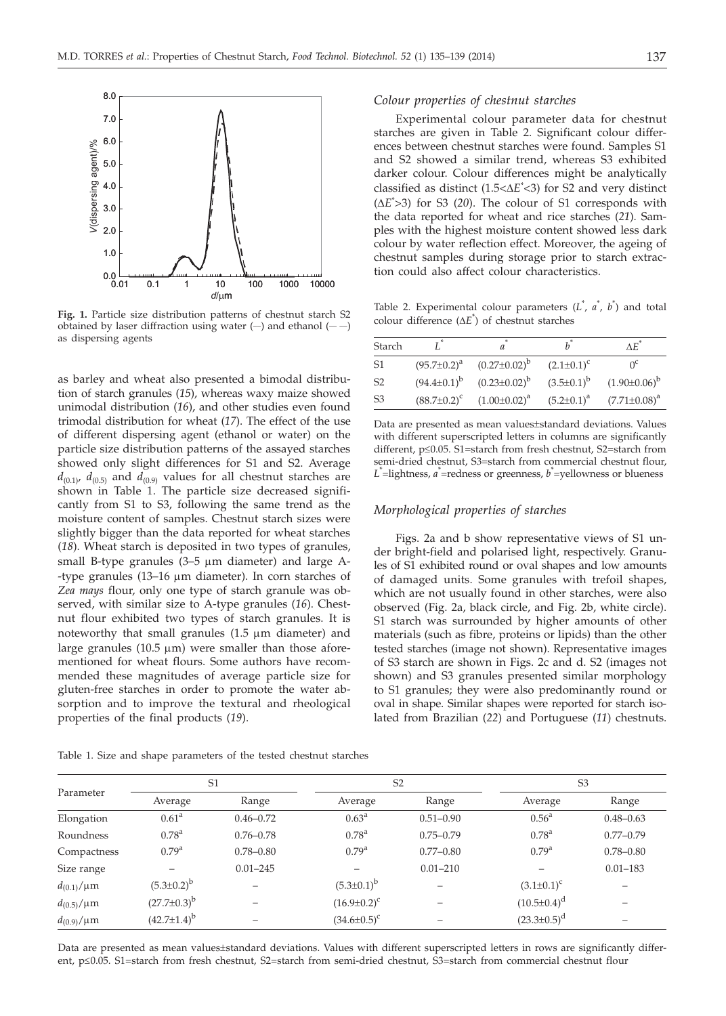

**Fig. 1.** Particle size distribution patterns of chestnut starch S2 obtained by laser diffraction using water  $(-)$  and ethanol  $(--)$ as dispersing agents

as barley and wheat also presented a bimodal distribution of starch granules (*15*), whereas waxy maize showed unimodal distribution (*16*), and other studies even found trimodal distribution for wheat (*17*). The effect of the use of different dispersing agent (ethanol or water) on the particle size distribution patterns of the assayed starches showed only slight differences for S1 and S2. Average  $d_{(0,1)}$ ,  $d_{(0,5)}$  and  $d_{(0,9)}$  values for all chestnut starches are shown in Table 1. The particle size decreased significantly from S1 to S3, following the same trend as the moisture content of samples. Chestnut starch sizes were slightly bigger than the data reported for wheat starches (*18*). Wheat starch is deposited in two types of granules, small B-type granules  $(3-5 \mu m)$  diameter) and large A--type granules (13-16  $\mu$ m diameter). In corn starches of *Zea mays* flour, only one type of starch granule was observed, with similar size to A-type granules (*16*). Chestnut flour exhibited two types of starch granules. It is noteworthy that small granules  $(1.5 \mu m)$  diameter) and large granules (10.5  $\mu$ m) were smaller than those aforementioned for wheat flours. Some authors have recommended these magnitudes of average particle size for gluten-free starches in order to promote the water absorption and to improve the textural and rheological properties of the final products (*19*).

Table 1. Size and shape parameters of the tested chestnut starches

#### *Colour properties of chestnut starches*

Experimental colour parameter data for chestnut starches are given in Table 2. Significant colour differences between chestnut starches were found. Samples S1 and S2 showed a similar trend, whereas S3 exhibited darker colour. Colour differences might be analytically classified as distinct  $(1.5 < \Delta E^* < 3)$  for S2 and very distinct  $(4E^* < 3)$  for S3  $(20)$ . The colour of S1 corresponds with  $(\Delta E > 3)$  for S3 (20). The colour of S1 corresponds with the data reported for wheat and rice starches (21). Samthe data reported for wheat and rice starches (*21*). Samples with the highest moisture content showed less dark colour by water reflection effect. Moreover, the ageing of chestnut samples during storage prior to starch extraction could also affect colour characteristics.

Table 2. Experimental colour parameters  $(L^*, a^*, b^*)$  and total colour difference  $(\Delta E^*)$  of chestnut starches

| Starch         |                    |                     |                   | ΛĒ.                 |
|----------------|--------------------|---------------------|-------------------|---------------------|
| S <sub>1</sub> | $(95.7 \pm 0.2)^a$ | $(0.27 \pm 0.02)^b$ | $(2.1 \pm 0.1)^c$ |                     |
| S <sub>2</sub> | $(94.4 \pm 0.1)^b$ | $(0.23 \pm 0.02)^b$ | $(3.5\pm0.1)^{b}$ | $(1.90\pm0.06)^{p}$ |
| S <sub>3</sub> | $(88.7 \pm 0.2)^c$ | $(1.00 \pm 0.02)^a$ | $(5.2 \pm 0.1)^a$ | $(7.71 \pm 0.08)^a$ |

Data are presented as mean values±standard deviations. Values with different superscripted letters in columns are significantly different, p≤0.05. S1=starch from fresh chestnut, S2=starch from semi-dried chestnut, S3=starch from commercial chestnut flour, *L*\* =lightness, *a* \* =redness or greenness, *b* \* =yellowness or blueness

### *Morphological properties of starches*

Figs. 2a and b show representative views of S1 under bright-field and polarised light, respectively. Granules of S1 exhibited round or oval shapes and low amounts of damaged units. Some granules with trefoil shapes, which are not usually found in other starches, were also observed (Fig. 2a, black circle, and Fig. 2b, white circle). S1 starch was surrounded by higher amounts of other materials (such as fibre, proteins or lipids) than the other tested starches (image not shown). Representative images of S3 starch are shown in Figs. 2c and d. S2 (images not shown) and S3 granules presented similar morphology to S1 granules; they were also predominantly round or oval in shape. Similar shapes were reported for starch isolated from Brazilian (*22*) and Portuguese (*11*) chestnuts.

| Parameter         | S <sub>1</sub>      |               | S <sub>2</sub>     |               | S <sub>3</sub>     |               |
|-------------------|---------------------|---------------|--------------------|---------------|--------------------|---------------|
|                   | Average             | Range         | Average            | Range         | Average            | Range         |
| Elongation        | $0.61^{\text{a}}$   | $0.46 - 0.72$ | $0.63^{\rm a}$     | $0.51 - 0.90$ | $0.56^{\rm a}$     | $0.48 - 0.63$ |
| Roundness         | $0.78^{a}$          | $0.76 - 0.78$ | $0.78^{\rm a}$     | $0.75 - 0.79$ | $0.78^{\rm a}$     | $0.77 - 0.79$ |
| Compactness       | 0.79 <sup>a</sup>   | $0.78 - 0.80$ | 0.79 <sup>a</sup>  | $0.77 - 0.80$ | $0.79^{\rm a}$     | $0.78 - 0.80$ |
| Size range        |                     | $0.01 - 245$  |                    | $0.01 - 210$  |                    | $0.01 - 183$  |
| $d_{(0.1)}/\mu m$ | $(5.3 \pm 0.2)^{b}$ |               | $(5.3 \pm 0.1)^b$  |               | $(3.1 \pm 0.1)^c$  |               |
| $d_{(0.5)}/\mu m$ | $(27.7 \pm 0.3)^b$  |               | $(16.9 \pm 0.2)^c$ |               | $(10.5 \pm 0.4)^d$ |               |
| $d_{(0.9)}/\mu m$ | $(42.7 \pm 1.4)^b$  |               | $(34.6 \pm 0.5)^c$ |               | $(23.3 \pm 0.5)^d$ |               |

Data are presented as mean values±standard deviations. Values with different superscripted letters in rows are significantly different, p<0.05. S1=starch from fresh chestnut, S2=starch from semi-dried chestnut, S3=starch from commercial chestnut flour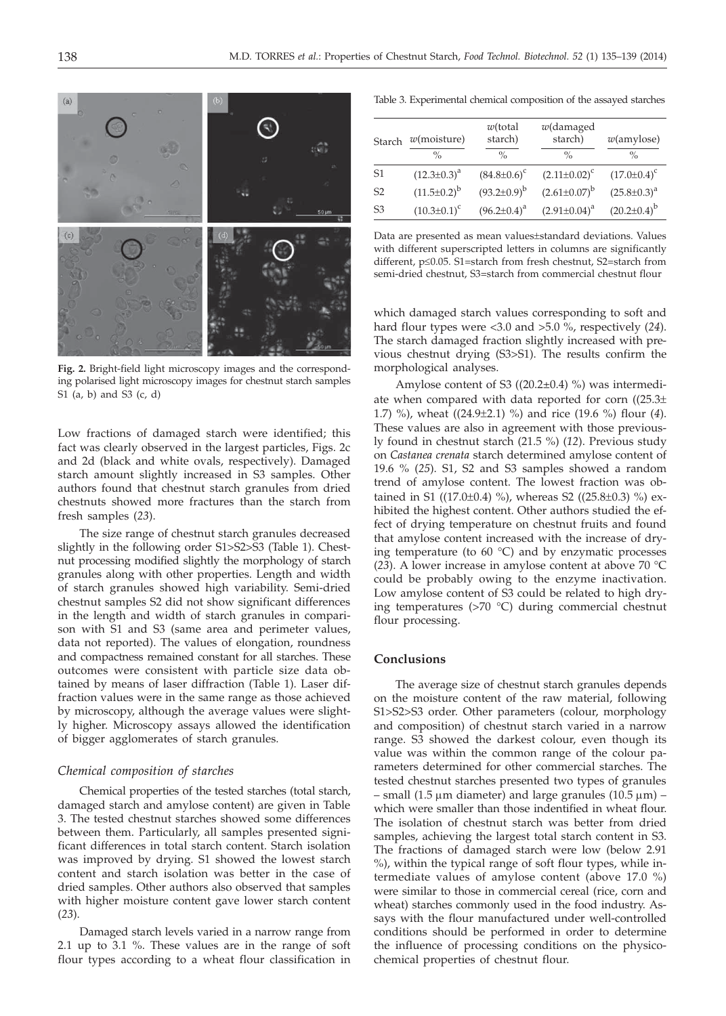

**Fig. 2.** Bright-field light microscopy images and the corresponding polarised light microscopy images for chestnut starch samples S1 (a, b) and S3 (c, d)

Low fractions of damaged starch were identified; this fact was clearly observed in the largest particles, Figs. 2c and 2d (black and white ovals, respectively). Damaged starch amount slightly increased in S3 samples. Other authors found that chestnut starch granules from dried chestnuts showed more fractures than the starch from fresh samples (*23*).

The size range of chestnut starch granules decreased slightly in the following order S1>S2>S3 (Table 1). Chestnut processing modified slightly the morphology of starch granules along with other properties. Length and width of starch granules showed high variability. Semi-dried chestnut samples S2 did not show significant differences in the length and width of starch granules in comparison with S1 and S3 (same area and perimeter values, data not reported). The values of elongation, roundness and compactness remained constant for all starches. These outcomes were consistent with particle size data obtained by means of laser diffraction (Table 1). Laser diffraction values were in the same range as those achieved by microscopy, although the average values were slightly higher. Microscopy assays allowed the identification of bigger agglomerates of starch granules.

## *Chemical composition of starches*

Chemical properties of the tested starches (total starch, damaged starch and amylose content) are given in Table 3. The tested chestnut starches showed some differences between them. Particularly, all samples presented significant differences in total starch content. Starch isolation was improved by drying. S1 showed the lowest starch content and starch isolation was better in the case of dried samples. Other authors also observed that samples with higher moisture content gave lower starch content (*23*).

Damaged starch levels varied in a narrow range from 2.1 up to 3.1 %. These values are in the range of soft flour types according to a wheat flour classification in

Table 3. Experimental chemical composition of the assayed starches

| Starch         | $w$ (moisture)<br>$\frac{0}{0}$ | $w$ (total<br>starch)<br>$\frac{0}{\alpha}$ | $w$ (damaged<br>starch)<br>$\%$ | $w$ (amylose)<br>$\%$ |
|----------------|---------------------------------|---------------------------------------------|---------------------------------|-----------------------|
| S <sub>1</sub> | $(12.3 \pm 0.3)^a$              | $(84.8 \pm 0.6)^c$                          | $(2.11\pm0.02)^c$               | $(17.0 \pm 0.4)^c$    |
| S <sub>2</sub> | $(11.5 \pm 0.2)^{b}$            | $(93.2 \pm 0.9)^b$                          | $(2.61 \pm 0.07)^b$             | $(25.8 \pm 0.3)^a$    |
| S <sub>3</sub> | $(10.3 \pm 0.1)^c$              | $(96.2 \pm 0.4)^a$                          | $(2.91 \pm 0.04)^a$             | $(20.2 \pm 0.4)^b$    |

Data are presented as mean values±standard deviations. Values with different superscripted letters in columns are significantly different,  $p \le 0.05$ . S1=starch from fresh chestnut, S2=starch from semi-dried chestnut, S3=starch from commercial chestnut flour

which damaged starch values corresponding to soft and hard flour types were <3.0 and >5.0 %, respectively (*24*). The starch damaged fraction slightly increased with previous chestnut drying (S3>S1). The results confirm the morphological analyses.

Amylose content of S3  $((20.2\pm0.4)$  %) was intermediate when compared with data reported for corn  $((25.3±)$ 1.7) %), wheat ((24.9±2.1) %) and rice (19.6 %) flour (*4*). These values are also in agreement with those previously found in chestnut starch (21.5 %) (*12*). Previous study on *Castanea crenata* starch determined amylose content of 19.6 % (*25*). S1, S2 and S3 samples showed a random trend of amylose content. The lowest fraction was obtained in S1 ((17.0 $\pm$ 0.4) %), whereas S2 ((25.8 $\pm$ 0.3) %) exhibited the highest content. Other authors studied the effect of drying temperature on chestnut fruits and found that amylose content increased with the increase of drying temperature (to  $60^{\circ}$ C) and by enzymatic processes (*23*). A lower increase in amylose content at above 70 °C could be probably owing to the enzyme inactivation. Low amylose content of S3 could be related to high drying temperatures (>70 °C) during commercial chestnut flour processing.

# **Conclusions**

The average size of chestnut starch granules depends on the moisture content of the raw material, following S1>S2>S3 order. Other parameters (colour, morphology and composition) of chestnut starch varied in a narrow range. S3 showed the darkest colour, even though its value was within the common range of the colour parameters determined for other commercial starches. The tested chestnut starches presented two types of granules – small (1.5  $\mu$ m diameter) and large granules (10.5  $\mu$ m) – which were smaller than those indentified in wheat flour. The isolation of chestnut starch was better from dried samples, achieving the largest total starch content in S3. The fractions of damaged starch were low (below 2.91 %), within the typical range of soft flour types, while intermediate values of amylose content (above 17.0 %) were similar to those in commercial cereal (rice, corn and wheat) starches commonly used in the food industry. Assays with the flour manufactured under well-controlled conditions should be performed in order to determine the influence of processing conditions on the physicochemical properties of chestnut flour.